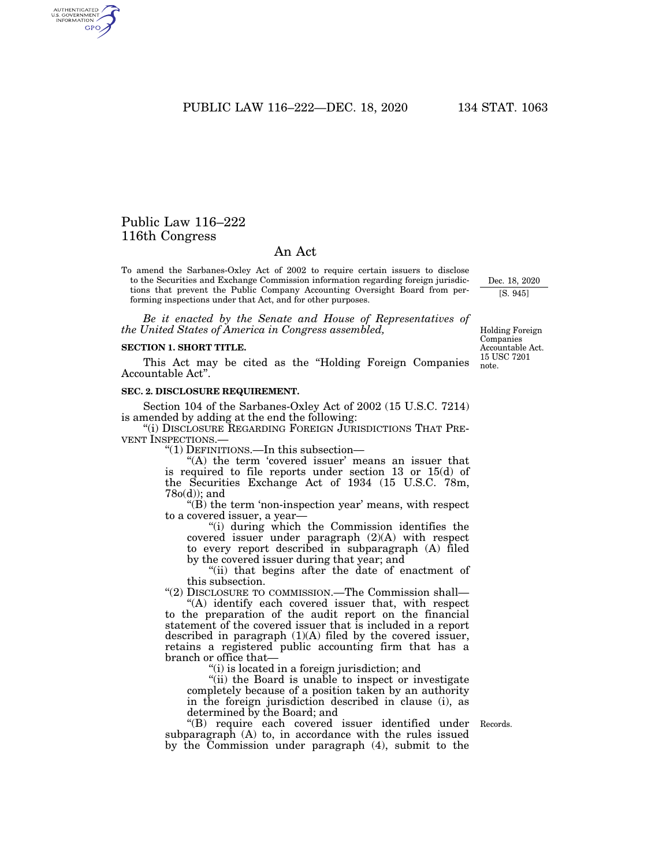PUBLIC LAW 116–222—DEC. 18, 2020 134 STAT. 1063

# Public Law 116–222 116th Congress

AUTHENTICATED<br>U.S. GOVERNMENT<br>INFORMATION GPO

## An Act

To amend the Sarbanes-Oxley Act of 2002 to require certain issuers to disclose to the Securities and Exchange Commission information regarding foreign jurisdictions that prevent the Public Company Accounting Oversight Board from performing inspections under that Act, and for other purposes.

*Be it enacted by the Senate and House of Representatives of the United States of America in Congress assembled,* 

#### **SECTION 1. SHORT TITLE.**

This Act may be cited as the ''Holding Foreign Companies Accountable Act''.

### **SEC. 2. DISCLOSURE REQUIREMENT.**

Section 104 of the Sarbanes-Oxley Act of 2002 (15 U.S.C. 7214) is amended by adding at the end the following:

''(i) DISCLOSURE REGARDING FOREIGN JURISDICTIONS THAT PRE-VENT INSPECTIONS.—

''(1) DEFINITIONS.—In this subsection—

"(A) the term 'covered issuer' means an issuer that is required to file reports under section 13 or 15(d) of the Securities Exchange Act of 1934 (15 U.S.C. 78m, 78o(d)); and

 $'(B)$  the term 'non-inspection year' means, with respect to a covered issuer, a year—

''(i) during which the Commission identifies the covered issuer under paragraph (2)(A) with respect to every report described in subparagraph (A) filed by the covered issuer during that year; and

"(ii) that begins after the date of enactment of this subsection.

''(2) DISCLOSURE TO COMMISSION.—The Commission shall— ''(A) identify each covered issuer that, with respect

to the preparation of the audit report on the financial statement of the covered issuer that is included in a report described in paragraph (1)(A) filed by the covered issuer, retains a registered public accounting firm that has a branch or office that—

''(i) is located in a foreign jurisdiction; and

''(ii) the Board is unable to inspect or investigate completely because of a position taken by an authority in the foreign jurisdiction described in clause (i), as determined by the Board; and

''(B) require each covered issuer identified under Records. subparagraph (A) to, in accordance with the rules issued by the Commission under paragraph (4), submit to the

15 USC 7201 note. Holding Foreign Companies Accountable Act.

Dec. 18, 2020 [S. 945]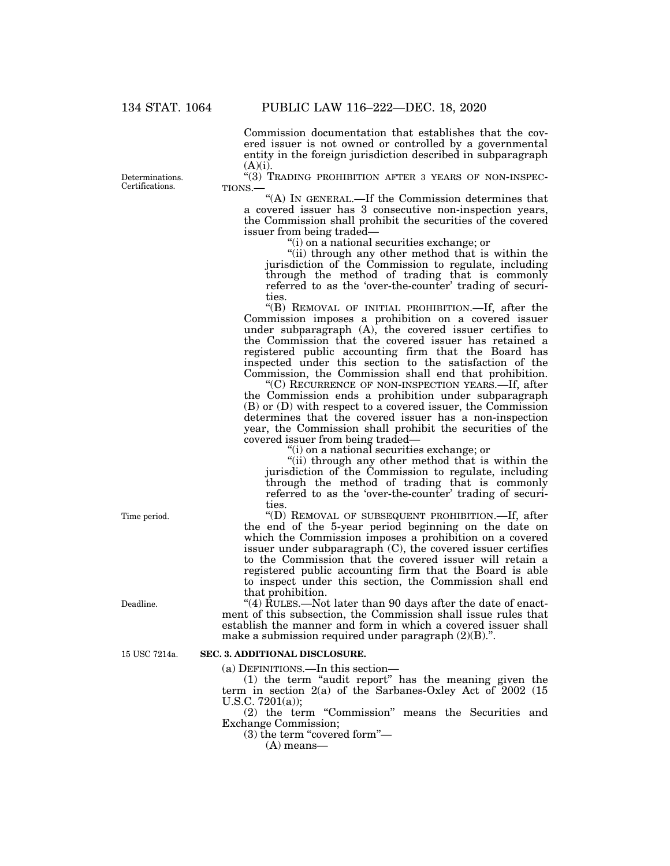Commission documentation that establishes that the covered issuer is not owned or controlled by a governmental entity in the foreign jurisdiction described in subparagraph

(A)(i).<br>"(3) Trading prohibition after 3 years of non-inspec-

TIONS.— $\left( \text{A} \right)$  IN GENERAL.—If the Commission determines that a covered issuer has 3 consecutive non-inspection years, the Commission shall prohibit the securities of the covered issuer from being traded—

''(i) on a national securities exchange; or

''(ii) through any other method that is within the jurisdiction of the Commission to regulate, including through the method of trading that is commonly referred to as the 'over-the-counter' trading of securities.

''(B) REMOVAL OF INITIAL PROHIBITION.—If, after the Commission imposes a prohibition on a covered issuer under subparagraph (A), the covered issuer certifies to the Commission that the covered issuer has retained a registered public accounting firm that the Board has inspected under this section to the satisfaction of the Commission, the Commission shall end that prohibition.

''(C) RECURRENCE OF NON-INSPECTION YEARS.—If, after the Commission ends a prohibition under subparagraph (B) or (D) with respect to a covered issuer, the Commission determines that the covered issuer has a non-inspection year, the Commission shall prohibit the securities of the covered issuer from being traded—

''(i) on a national securities exchange; or

"(ii) through any other method that is within the jurisdiction of the Commission to regulate, including through the method of trading that is commonly referred to as the 'over-the-counter' trading of securities.

''(D) REMOVAL OF SUBSEQUENT PROHIBITION.—If, after the end of the 5-year period beginning on the date on which the Commission imposes a prohibition on a covered issuer under subparagraph (C), the covered issuer certifies to the Commission that the covered issuer will retain a registered public accounting firm that the Board is able to inspect under this section, the Commission shall end that prohibition.

"(4) RULES.—Not later than 90 days after the date of enactment of this subsection, the Commission shall issue rules that establish the manner and form in which a covered issuer shall make a submission required under paragraph  $(2)(B)$ .".

#### **SEC. 3. ADDITIONAL DISCLOSURE.**

(a) DEFINITIONS.—In this section—

(1) the term ''audit report'' has the meaning given the term in section 2(a) of the Sarbanes-Oxley Act of 2002 (15 U.S.C. 7201(a));

(2) the term ''Commission'' means the Securities and Exchange Commission;

 $(3)$  the term "covered form"—

(A) means—

Determinations. Certifications.

Time period.

Deadline.

15 USC 7214a.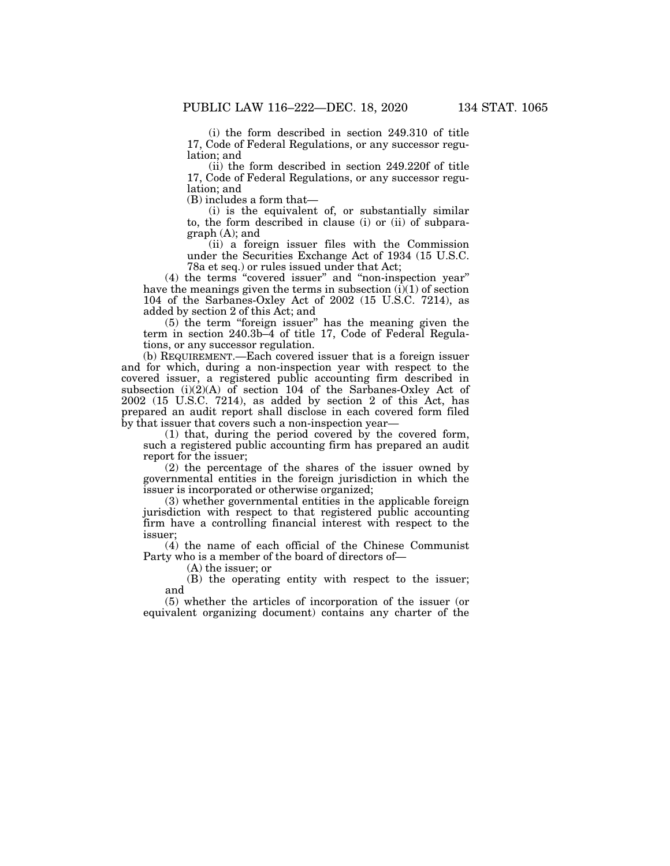(i) the form described in section 249.310 of title 17, Code of Federal Regulations, or any successor regulation; and

(ii) the form described in section 249.220f of title 17, Code of Federal Regulations, or any successor regulation; and

(B) includes a form that—

(i) is the equivalent of, or substantially similar to, the form described in clause (i) or (ii) of subparagraph (A); and

(ii) a foreign issuer files with the Commission under the Securities Exchange Act of 1934 (15 U.S.C. 78a et seq.) or rules issued under that Act;

(4) the terms ''covered issuer'' and ''non-inspection year'' have the meanings given the terms in subsection  $(i)(1)$  of section 104 of the Sarbanes-Oxley Act of 2002 (15 U.S.C. 7214), as added by section 2 of this Act; and

(5) the term ''foreign issuer'' has the meaning given the term in section 240.3b–4 of title 17, Code of Federal Regulations, or any successor regulation.

(b) REQUIREMENT.—Each covered issuer that is a foreign issuer and for which, during a non-inspection year with respect to the covered issuer, a registered public accounting firm described in subsection  $(i)(2)(A)$  of section 104 of the Sarbanes-Oxley Act of 2002 (15 U.S.C. 7214), as added by section 2 of this Act, has prepared an audit report shall disclose in each covered form filed by that issuer that covers such a non-inspection year—

(1) that, during the period covered by the covered form, such a registered public accounting firm has prepared an audit report for the issuer;

(2) the percentage of the shares of the issuer owned by governmental entities in the foreign jurisdiction in which the issuer is incorporated or otherwise organized;

(3) whether governmental entities in the applicable foreign jurisdiction with respect to that registered public accounting firm have a controlling financial interest with respect to the issuer;

(4) the name of each official of the Chinese Communist Party who is a member of the board of directors of—

(A) the issuer; or

(B) the operating entity with respect to the issuer; and

(5) whether the articles of incorporation of the issuer (or equivalent organizing document) contains any charter of the